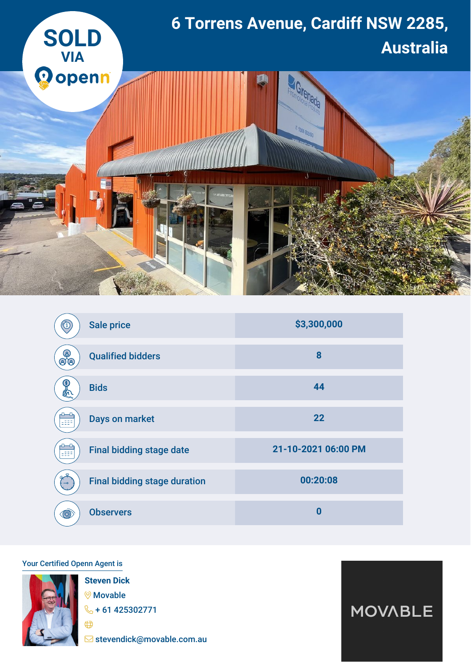

|                | <b>Sale price</b>                   | \$3,300,000         |
|----------------|-------------------------------------|---------------------|
| (දු)<br>க்க    | <b>Qualified bidders</b>            | 8                   |
| δ.             | <b>Bids</b>                         | 44                  |
|                | Days on market                      | 22                  |
|                | <b>Final bidding stage date</b>     | 21-10-2021 06:00 PM |
| $-\circ$       | <b>Final bidding stage duration</b> | 00:20:08            |
| $\circledcirc$ | <b>Observers</b>                    | $\bf{0}$            |

## Your Certified Openn Agent is



**Steven Dick** Movable  $\frac{1}{2}$  + 61 425302771

stevendick@movable.com.au

**MOVABLE**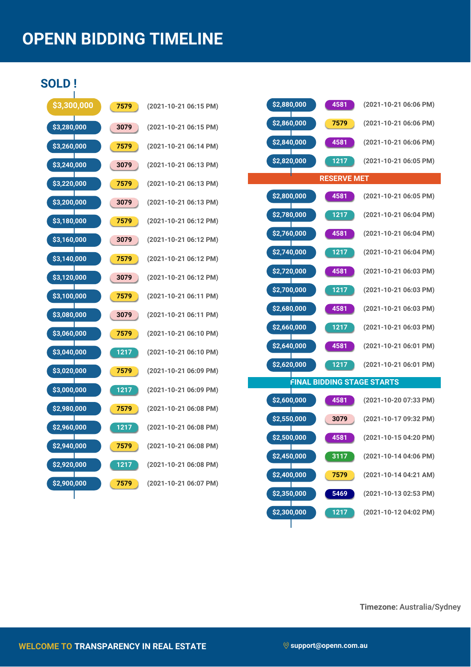## **OPENN BIDDING TIMELINE**

## **SOLD !**

| \$3,300,000        | 7579 | $(2021 -$ |
|--------------------|------|-----------|
| \$3,280,000        | 3079 | $(2021 -$ |
| \$3,260,000        | 7579 | $(2021 -$ |
| \$3,240,000        | 3079 | $(2021 -$ |
| <u>\$3,220,000</u> | 7579 | $(2021 -$ |
| \$3,200,000        | 3079 | $(2021 -$ |
| \$3,180,000        | 7579 | $(2021 -$ |
| \$3,160,000        | 3079 | $(2021 -$ |
| \$3,140,000        | 7579 | $(2021 -$ |
| \$3,120,000        | 3079 | $(2021 -$ |
| \$3,100,000        | 7579 | $(2021 -$ |
| Т<br>\$3,080,000   | 3079 | $(2021 -$ |
| \$3,060,000        | 7579 | $(2021 -$ |
| \$3,040,000        | 1217 | $(2021 -$ |
| \$3,020,000        | 7579 | $(2021 -$ |
| Ш<br>\$3,000,000   | 1217 | $(2021 -$ |
| \$2,980,000        | 7579 | $(2021 -$ |
| \$2,960,000        | 1217 | $(2021 -$ |
| \$2,940,000        | 7579 | $(2021 -$ |
| \$2,920,000        | 1217 | $(2021 -$ |
| \$2,900,000        | 7579 | $(2021 -$ |
|                    |      |           |

| 7579              | (2021-10-21 06:15 PM) |
|-------------------|-----------------------|
| 3079              | (2021-10-21 06:15 PM) |
| 7579              | (2021-10-21 06:14 PM) |
| 3079              | (2021-10-21 06:13 PM) |
| 7579              | (2021-10-21 06:13 PM) |
| 3079              | (2021-10-21 06:13 PM) |
| 7579              | (2021-10-21 06:12 PM) |
| 3079              | (2021-10-21 06:12 PM) |
| 7579              | (2021-10-21 06:12 PM) |
| 3079              | (2021-10-21 06:12 PM) |
| 7579              | (2021-10-21 06:11 PM) |
| 3079              | (2021-10-21 06:11 PM) |
| 7579              | (2021-10-21 06:10 PM) |
| 1217              | (2021-10-21 06:10 PM) |
| 7579              | (2021-10-21 06:09 PM) |
| 1217              | (2021-10-21 06:09 PM) |
| 7579              | (2021-10-21 06:08 PM) |
| 1217              | (2021-10-21 06:08 PM) |
| 7579              | (2021-10-21 06:08 PM) |
| $\overline{1217}$ | (2021-10-21 06:08 PM) |
| 7579              | (2021-10-21 06:07 PM) |

П

| \$2,880,000<br>4581               | (2021-10-21 06:06 PM) |  |  |  |  |
|-----------------------------------|-----------------------|--|--|--|--|
| \$2,860,000<br>7579               | (2021-10-21 06:06 PM) |  |  |  |  |
| \$2,840,000<br>4581               | (2021-10-21 06:06 PM) |  |  |  |  |
| \$2,820,000<br>1217               | (2021-10-21 06:05 PM) |  |  |  |  |
| <b>RESERVE MET</b>                |                       |  |  |  |  |
| \$2,800,000<br>4581               | (2021-10-21 06:05 PM) |  |  |  |  |
| \$2,780,000<br>1217               | (2021-10-21 06:04 PM) |  |  |  |  |
| \$2,760,000<br>4581               | (2021-10-21 06:04 PM) |  |  |  |  |
| \$2,740,000<br>1217               | (2021-10-21 06:04 PM) |  |  |  |  |
| \$2,720,000<br>4581               | (2021-10-21 06:03 PM) |  |  |  |  |
| \$2,700,000<br>1217               | (2021-10-21 06:03 PM) |  |  |  |  |
| \$2,680,000<br>4581               | (2021-10-21 06:03 PM) |  |  |  |  |
| \$2,660,000<br>1217               | (2021-10-21 06:03 PM) |  |  |  |  |
| \$2,640,000<br>4581               | (2021-10-21 06:01 PM) |  |  |  |  |
| \$2,620,000<br>1217               | (2021-10-21 06:01 PM) |  |  |  |  |
| <b>FINAL BIDDING STAGE STARTS</b> |                       |  |  |  |  |
| \$2,600,000<br>4581               | (2021-10-20 07:33 PM) |  |  |  |  |
| \$2,550,000<br>3079               | (2021-10-17 09:32 PM) |  |  |  |  |
| \$2,500,000<br>4581               | (2021-10-15 04:20 PM) |  |  |  |  |
| \$2,450,000<br>3117               | (2021-10-14 04:06 PM) |  |  |  |  |
| \$2,400,000<br>7579               | (2021-10-14 04:21 AM) |  |  |  |  |
| 5469<br>\$2,350,000               | (2021-10-13 02:53 PM) |  |  |  |  |
| \$2,300,000<br>1217               | (2021-10-12 04:02 PM) |  |  |  |  |

**Timezone:** Australia/Sydney

Τ